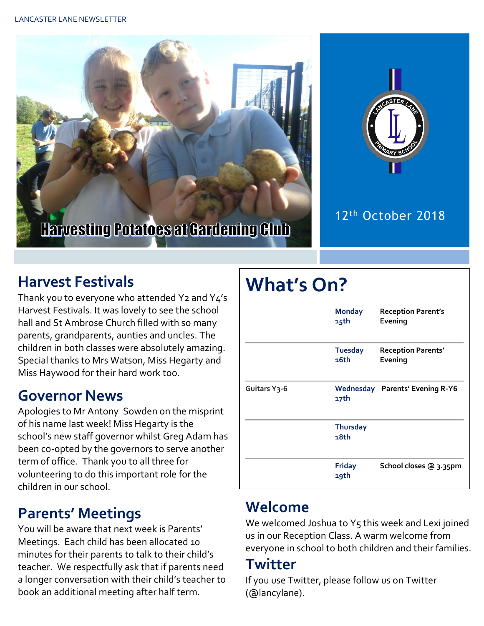



### 12th October 2018

## **Harvest Festivals**

Thank you to everyone who attended Y2 and Y4's Harvest Festivals. It was lovely to see the school hall and St Ambrose Church filled with so many parents, grandparents, aunties and uncles. The children in both classes were absolutely amazing. Special thanks to Mrs Watson, Miss Hegarty and Miss Haywood for their hard work too.

### **Governor News**

Apologies to Mr Antony Sowden on the misprint of his name last week! Miss Hegarty is the school's new staff governor whilst Greg Adam has been co-opted by the governors to serve another term of office. Thank you to all three for volunteering to do this important role for the children in our school.

## **Parents' Meetings**

You will be aware that next week is Parents' Meetings. Each child has been allocated 10 minutes for their parents to talk to their child's teacher. We respectfully ask that if parents need a longer conversation with their child's teacher to book an additional meeting after half term.

# **What's On?**

|                           | <b>Monday</b><br>15th   | <b>Reception Parent's</b><br>Evening   |  |
|---------------------------|-------------------------|----------------------------------------|--|
|                           | <b>Tuesday</b><br>16th  | <b>Reception Parents'</b><br>Evening   |  |
| Guitars Y <sub>3</sub> -6 | 17th                    | <b>Wednesday Parents' Evening R-Y6</b> |  |
|                           | <b>Thursday</b><br>18th |                                        |  |
|                           | <b>Friday</b><br>19th   | School closes @ 3.35pm                 |  |

## **Welcome**

We welcomed Joshua to Y5 this week and Lexi joined us in our Reception Class. A warm welcome from everyone in school to both children and their families.

### **Twitter**

If you use Twitter, please follow us on Twitter (@lancylane).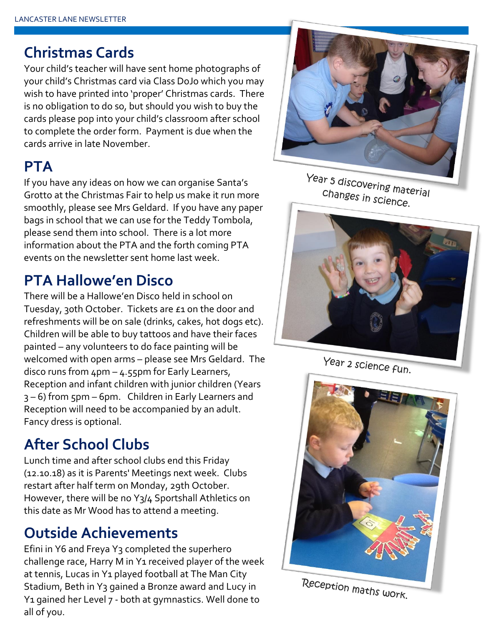### **Christmas Cards**

Your child's teacher will have sent home photographs of your child's Christmas card via Class DoJo which you may wish to have printed into 'proper' Christmas cards. There is no obligation to do so, but should you wish to buy the cards please pop into your child's classroom after school to complete the order form. Payment is due when the cards arrive in late November.

### **PTA**

If you have any ideas on how we can organise Santa's Grotto at the Christmas Fair to help us make it run more smoothly, please see Mrs Geldard. If you have any paper bags in school that we can use for the Teddy Tombola, please send them into school. There is a lot more information about the PTA and the forth coming PTA events on the newsletter sent home last week.

## **PTA Hallowe'en Disco**

There will be a Hallowe'en Disco held in school on Tuesday, 30th October. Tickets are £1 on the door and refreshments will be on sale (drinks, cakes, hot dogs etc). Children will be able to buy tattoos and have their faces painted – any volunteers to do face painting will be welcomed with open arms – please see Mrs Geldard. The disco runs from  $4pm - 4.55pm$  for Early Learners, Reception and infant children with junior children (Years 3 – 6) from 5pm – 6pm. Children in Early Learners and Reception will need to be accompanied by an adult. Fancy dress is optional.

## **After School Clubs**

Lunch time and after school clubs end this Friday (12.10.18) as it is Parents' Meetings next week. Clubs restart after half term on Monday, 29th October. However, there will be no Y3/4 Sportshall Athletics on this date as Mr Wood has to attend a meeting.

## **Outside Achievements**

Efini in Y6 and Freya Y<sub>3</sub> completed the superhero challenge race, Harry M in Y1 received player of the week at tennis, Lucas in Y1 played football at The Man City Stadium, Beth in Y3 gained a Bronze award and Lucy in Y1 gained her Level 7 - both at gymnastics. Well done to all of you.



Year 5 discovering material Changes in science.



Year 2 science fun.